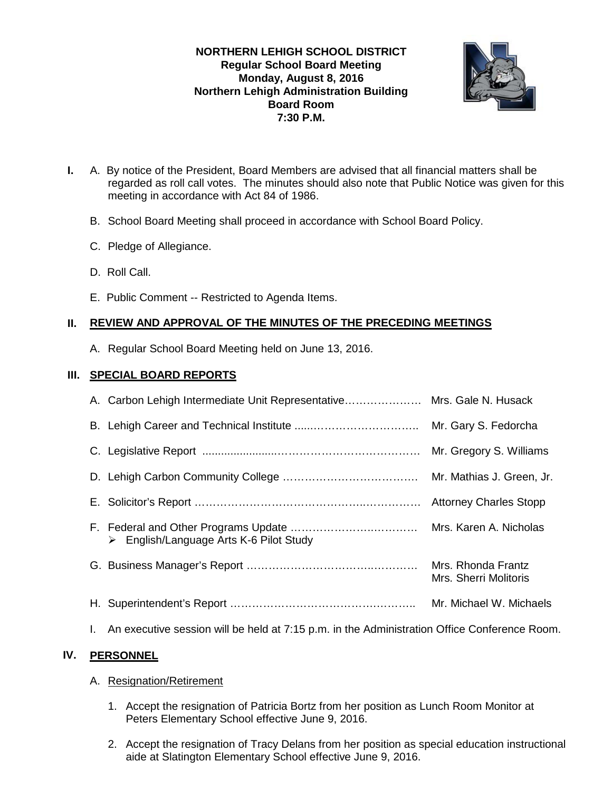# **NORTHERN LEHIGH SCHOOL DISTRICT Regular School Board Meeting Monday, August 8, 2016 Northern Lehigh Administration Building Board Room 7:30 P.M.**



- **I.** A. By notice of the President, Board Members are advised that all financial matters shall be regarded as roll call votes. The minutes should also note that Public Notice was given for this meeting in accordance with Act 84 of 1986.
	- B. School Board Meeting shall proceed in accordance with School Board Policy.
	- C. Pledge of Allegiance.
	- D. Roll Call.
	- E. Public Comment -- Restricted to Agenda Items.

# **II. REVIEW AND APPROVAL OF THE MINUTES OF THE PRECEDING MEETINGS**

A. Regular School Board Meeting held on June 13, 2016.

# **III. SPECIAL BOARD REPORTS**

| A. Carbon Lehigh Intermediate Unit Representative Mrs. Gale N. Husack |                                             |
|-----------------------------------------------------------------------|---------------------------------------------|
|                                                                       | Mr. Gary S. Fedorcha                        |
|                                                                       | Mr. Gregory S. Williams                     |
|                                                                       | Mr. Mathias J. Green, Jr.                   |
|                                                                       | <b>Attorney Charles Stopp</b>               |
| $\triangleright$ English/Language Arts K-6 Pilot Study                | Mrs. Karen A. Nicholas                      |
|                                                                       | Mrs. Rhonda Frantz<br>Mrs. Sherri Molitoris |
|                                                                       |                                             |

I. An executive session will be held at 7:15 p.m. in the Administration Office Conference Room.

# **IV. PERSONNEL**

## A. Resignation/Retirement

- 1. Accept the resignation of Patricia Bortz from her position as Lunch Room Monitor at Peters Elementary School effective June 9, 2016.
- 2. Accept the resignation of Tracy Delans from her position as special education instructional aide at Slatington Elementary School effective June 9, 2016.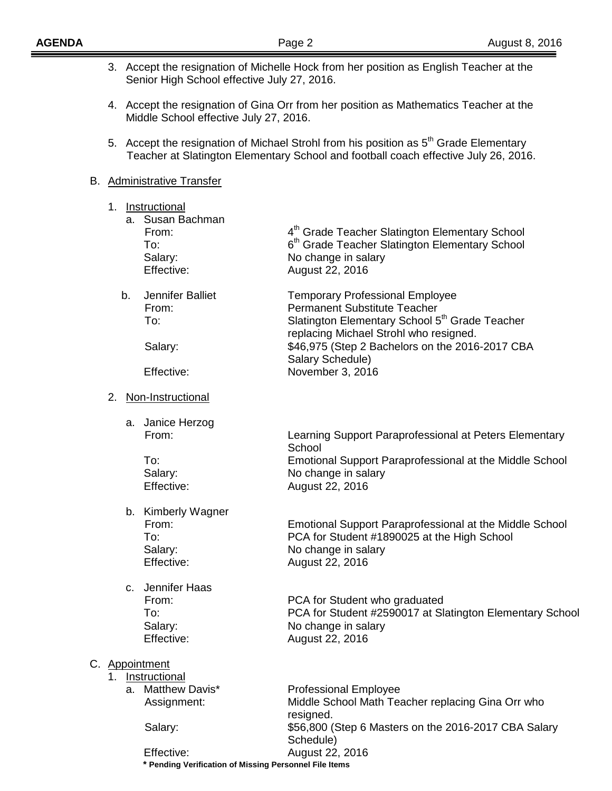|    | 3. Accept the resignation of Michelle Hock from her position as English Teacher at the<br>Senior High School effective July 27, 2016.                                                    |                                                                                                                                                                                                                                                                                  |  |
|----|------------------------------------------------------------------------------------------------------------------------------------------------------------------------------------------|----------------------------------------------------------------------------------------------------------------------------------------------------------------------------------------------------------------------------------------------------------------------------------|--|
|    | 4. Accept the resignation of Gina Orr from her position as Mathematics Teacher at the<br>Middle School effective July 27, 2016.                                                          |                                                                                                                                                                                                                                                                                  |  |
|    | 5. Accept the resignation of Michael Strohl from his position as 5 <sup>th</sup> Grade Elementary<br>Teacher at Slatington Elementary School and football coach effective July 26, 2016. |                                                                                                                                                                                                                                                                                  |  |
|    | <b>B.</b> Administrative Transfer                                                                                                                                                        |                                                                                                                                                                                                                                                                                  |  |
| 1. | Instructional<br>a. Susan Bachman<br>From:<br>To:<br>Salary:<br>Effective:                                                                                                               | 4 <sup>th</sup> Grade Teacher Slatington Elementary School<br>6 <sup>th</sup> Grade Teacher Slatington Elementary School<br>No change in salary<br>August 22, 2016                                                                                                               |  |
| b. | Jennifer Balliet<br>From:<br>To:<br>Salary:<br>Effective:                                                                                                                                | <b>Temporary Professional Employee</b><br><b>Permanent Substitute Teacher</b><br>Slatington Elementary School 5 <sup>th</sup> Grade Teacher<br>replacing Michael Strohl who resigned.<br>\$46,975 (Step 2 Bachelors on the 2016-2017 CBA<br>Salary Schedule)<br>November 3, 2016 |  |
| 2. | Non-Instructional                                                                                                                                                                        |                                                                                                                                                                                                                                                                                  |  |
|    | a. Janice Herzog<br>From:<br>To:<br>Salary:<br>Effective:                                                                                                                                | Learning Support Paraprofessional at Peters Elementary<br>School<br><b>Emotional Support Paraprofessional at the Middle School</b><br>No change in salary<br>August 22, 2016                                                                                                     |  |
|    | b. Kimberly Wagner<br>From:<br>To:<br>Salary:<br>Effective:                                                                                                                              | Emotional Support Paraprofessional at the Middle School<br>PCA for Student #1890025 at the High School<br>No change in salary<br>August 22, 2016                                                                                                                                 |  |
|    | c. Jennifer Haas<br>From:<br>To:<br>Salary:<br>Effective:                                                                                                                                | PCA for Student who graduated<br>PCA for Student #2590017 at Slatington Elementary School<br>No change in salary<br>August 22, 2016                                                                                                                                              |  |
| 1. | C. Appointment<br>Instructional<br>a. Matthew Davis*<br>Assignment:<br>Salary:<br>Effective:                                                                                             | <b>Professional Employee</b><br>Middle School Math Teacher replacing Gina Orr who<br>resigned.<br>\$56,800 (Step 6 Masters on the 2016-2017 CBA Salary<br>Schedule)<br>August 22, 2016                                                                                           |  |

 **\* Pending Verification of Missing Personnel File Items**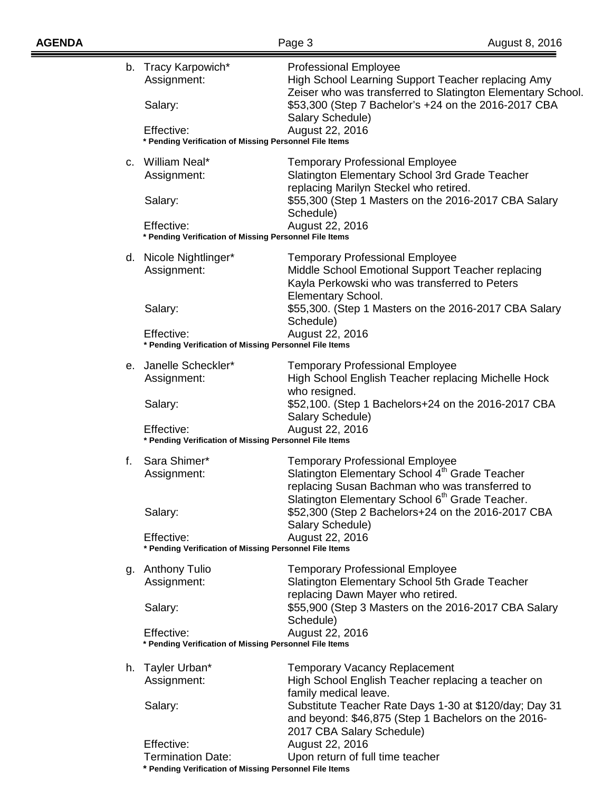Ξ

|    | b. Tracy Karpowich*<br>Assignment:<br>Salary:                                           | <b>Professional Employee</b><br>High School Learning Support Teacher replacing Amy<br>Zeiser who was transferred to Slatington Elementary School.<br>\$53,300 (Step 7 Bachelor's +24 on the 2016-2017 CBA |  |  |
|----|-----------------------------------------------------------------------------------------|-----------------------------------------------------------------------------------------------------------------------------------------------------------------------------------------------------------|--|--|
|    | Effective:                                                                              | Salary Schedule)<br>August 22, 2016                                                                                                                                                                       |  |  |
|    | * Pending Verification of Missing Personnel File Items                                  |                                                                                                                                                                                                           |  |  |
|    | c. William Neal*<br>Assignment:                                                         | <b>Temporary Professional Employee</b><br>Slatington Elementary School 3rd Grade Teacher<br>replacing Marilyn Steckel who retired.                                                                        |  |  |
|    | Salary:                                                                                 | \$55,300 (Step 1 Masters on the 2016-2017 CBA Salary<br>Schedule)                                                                                                                                         |  |  |
|    | August 22, 2016<br>Effective:<br>* Pending Verification of Missing Personnel File Items |                                                                                                                                                                                                           |  |  |
|    | d. Nicole Nightlinger*<br>Assignment:                                                   | <b>Temporary Professional Employee</b><br>Middle School Emotional Support Teacher replacing<br>Kayla Perkowski who was transferred to Peters<br>Elementary School.                                        |  |  |
|    | Salary:                                                                                 | \$55,300. (Step 1 Masters on the 2016-2017 CBA Salary<br>Schedule)                                                                                                                                        |  |  |
|    | Effective:<br>* Pending Verification of Missing Personnel File Items                    | August 22, 2016                                                                                                                                                                                           |  |  |
|    | e. Janelle Scheckler*<br>Assignment:                                                    | <b>Temporary Professional Employee</b><br>High School English Teacher replacing Michelle Hock<br>who resigned.                                                                                            |  |  |
|    | Salary:                                                                                 | \$52,100. (Step 1 Bachelors+24 on the 2016-2017 CBA<br>Salary Schedule)                                                                                                                                   |  |  |
|    | Effective:<br>* Pending Verification of Missing Personnel File Items                    | August 22, 2016                                                                                                                                                                                           |  |  |
| f. | Sara Shimer*<br>Assignment:                                                             | <b>Temporary Professional Employee</b><br>Slatington Elementary School 4th Grade Teacher<br>replacing Susan Bachman who was transferred to<br>Slatington Elementary School 6 <sup>th</sup> Grade Teacher. |  |  |
|    | Salary:                                                                                 | \$52,300 (Step 2 Bachelors+24 on the 2016-2017 CBA<br>Salary Schedule)                                                                                                                                    |  |  |
|    | Effective:<br>August 22, 2016<br>* Pending Verification of Missing Personnel File Items |                                                                                                                                                                                                           |  |  |
|    | g. Anthony Tulio<br>Assignment:                                                         | <b>Temporary Professional Employee</b><br>Slatington Elementary School 5th Grade Teacher                                                                                                                  |  |  |
|    | Salary:                                                                                 | replacing Dawn Mayer who retired.<br>\$55,900 (Step 3 Masters on the 2016-2017 CBA Salary<br>Schedule)                                                                                                    |  |  |
|    | Effective:<br>* Pending Verification of Missing Personnel File Items                    | August 22, 2016                                                                                                                                                                                           |  |  |
| h. | Tayler Urban*<br>Assignment:                                                            | <b>Temporary Vacancy Replacement</b><br>High School English Teacher replacing a teacher on<br>family medical leave.                                                                                       |  |  |
|    | Salary:                                                                                 | Substitute Teacher Rate Days 1-30 at \$120/day; Day 31<br>and beyond: \$46,875 (Step 1 Bachelors on the 2016-<br>2017 CBA Salary Schedule)                                                                |  |  |
|    | Effective:                                                                              | August 22, 2016                                                                                                                                                                                           |  |  |
|    | <b>Termination Date:</b><br>* Pending Verification of Missing Personnel File Items      | Upon return of full time teacher                                                                                                                                                                          |  |  |
|    |                                                                                         |                                                                                                                                                                                                           |  |  |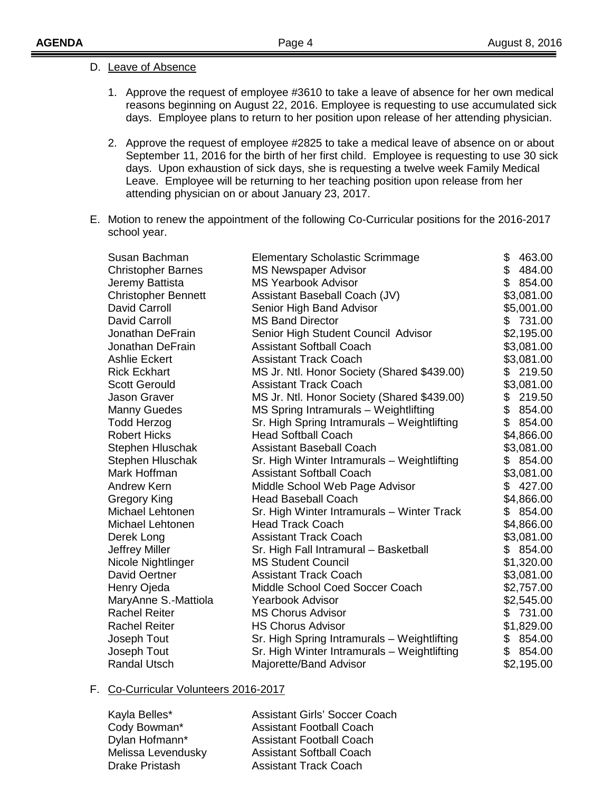|  | D. Leave of Absence |
|--|---------------------|
|  |                     |

- 1. Approve the request of employee #3610 to take a leave of absence for her own medical reasons beginning on August 22, 2016. Employee is requesting to use accumulated sick days. Employee plans to return to her position upon release of her attending physician.
- 2. Approve the request of employee #2825 to take a medical leave of absence on or about September 11, 2016 for the birth of her first child. Employee is requesting to use 30 sick days. Upon exhaustion of sick days, she is requesting a twelve week Family Medical Leave. Employee will be returning to her teaching position upon release from her attending physician on or about January 23, 2017.
- E. Motion to renew the appointment of the following Co-Curricular positions for the 2016-2017 school year.

| Susan Bachman              | <b>Elementary Scholastic Scrimmage</b>      | \$  | 463.00     |
|----------------------------|---------------------------------------------|-----|------------|
| <b>Christopher Barnes</b>  | <b>MS Newspaper Advisor</b>                 | \$  | 484.00     |
| Jeremy Battista            | <b>MS Yearbook Advisor</b>                  | \$  | 854.00     |
| <b>Christopher Bennett</b> | Assistant Baseball Coach (JV)               |     | \$3,081.00 |
| <b>David Carroll</b>       | Senior High Band Advisor                    |     | \$5,001.00 |
| <b>David Carroll</b>       | <b>MS Band Director</b>                     |     | \$731.00   |
| Jonathan DeFrain           | Senior High Student Council Advisor         |     | \$2,195.00 |
| Jonathan DeFrain           | <b>Assistant Softball Coach</b>             |     | \$3,081.00 |
| <b>Ashlie Eckert</b>       | <b>Assistant Track Coach</b>                |     | \$3,081.00 |
| <b>Rick Eckhart</b>        | MS Jr. Ntl. Honor Society (Shared \$439.00) |     | \$219.50   |
| <b>Scott Gerould</b>       | <b>Assistant Track Coach</b>                |     | \$3,081.00 |
| Jason Graver               | MS Jr. Ntl. Honor Society (Shared \$439.00) | \$  | 219.50     |
| <b>Manny Guedes</b>        | MS Spring Intramurals - Weightlifting       | \$  | 854.00     |
| <b>Todd Herzog</b>         | Sr. High Spring Intramurals - Weightlifting | \$  | 854.00     |
| <b>Robert Hicks</b>        | <b>Head Softball Coach</b>                  |     | \$4,866.00 |
| Stephen Hluschak           | <b>Assistant Baseball Coach</b>             |     | \$3,081.00 |
| Stephen Hluschak           | Sr. High Winter Intramurals - Weightlifting |     | \$854.00   |
| Mark Hoffman               | <b>Assistant Softball Coach</b>             |     | \$3,081.00 |
| Andrew Kern                | Middle School Web Page Advisor              | \$  | 427.00     |
| Gregory King               | <b>Head Baseball Coach</b>                  |     | \$4,866.00 |
| Michael Lehtonen           | Sr. High Winter Intramurals - Winter Track  | \$. | 854.00     |
| Michael Lehtonen           | <b>Head Track Coach</b>                     |     | \$4,866.00 |
| Derek Long                 | <b>Assistant Track Coach</b>                |     | \$3,081.00 |
| <b>Jeffrey Miller</b>      | Sr. High Fall Intramural - Basketball       |     | \$ 854.00  |
| Nicole Nightlinger         | <b>MS Student Council</b>                   |     | \$1,320.00 |
| <b>David Oertner</b>       | <b>Assistant Track Coach</b>                |     | \$3,081.00 |
| Henry Ojeda                | Middle School Coed Soccer Coach             |     | \$2,757.00 |
| MaryAnne S.-Mattiola       | <b>Yearbook Advisor</b>                     |     | \$2,545.00 |
| <b>Rachel Reiter</b>       | <b>MS Chorus Advisor</b>                    | S.  | 731.00     |
| <b>Rachel Reiter</b>       | <b>HS Chorus Advisor</b>                    |     | \$1,829.00 |
| Joseph Tout                | Sr. High Spring Intramurals - Weightlifting | \$  | 854.00     |
| Joseph Tout                | Sr. High Winter Intramurals - Weightlifting |     | \$854.00   |
| <b>Randal Utsch</b>        | Majorette/Band Advisor                      |     | \$2,195.00 |

#### F. Co-Curricular Volunteers 2016-2017

| Kayla Belles*         |
|-----------------------|
| Cody Bowman*          |
| Dylan Hofmann*        |
| Melissa Levendusky    |
| <b>Drake Pristash</b> |
|                       |

Assistant Girls' Soccer Coach Assistant Football Coach Assistant Football Coach Assistant Softball Coach Assistant Track Coach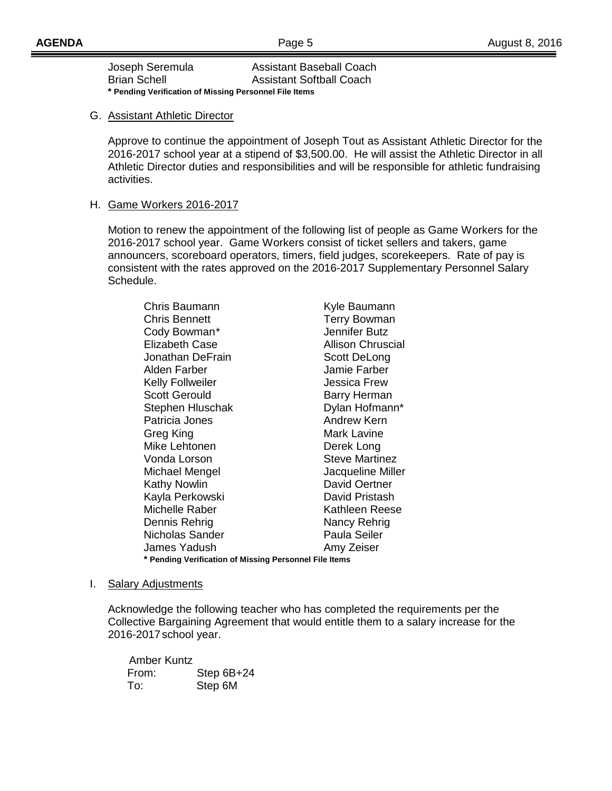| Joseph Seremula                                        | <b>Assistant Baseball Coach</b> |  |  |  |
|--------------------------------------------------------|---------------------------------|--|--|--|
| <b>Brian Schell</b>                                    | <b>Assistant Softball Coach</b> |  |  |  |
| * Pending Verification of Missing Personnel File Items |                                 |  |  |  |

#### G. Assistant Athletic Director

Approve to continue the appointment of Joseph Tout as Assistant Athletic Director for the 2016-2017 school year at a stipend of \$3,500.00. He will assist the Athletic Director in all Athletic Director duties and responsibilities and will be responsible for athletic fundraising activities.

# H. Game Workers 2016-2017

Motion to renew the appointment of the following list of people as Game Workers for the 2016-2017 school year. Game Workers consist of ticket sellers and takers, game announcers, scoreboard operators, timers, field judges, scorekeepers. Rate of pay is consistent with the rates approved on the 2016-2017 Supplementary Personnel Salary Schedule.

Chris Baumann Kyle Baumann Chris Bennett **Terry Bowman** Cody Bowman\* Jennifer Butz Elizabeth Case **Allison Chruscial** Jonathan DeFrain Scott DeLong Alden Farber Jamie Farber Kelly Follweiler **Gotter Strutter Strutter** Jessica Frew Scott Gerould Barry Herman Stephen Hluschak Dylan Hofmann\* Patricia Jones **Andrew Kern** Greg King **Mark Lavine** Mike Lehtonen Derek Long Vonda Lorson Steve Martinez Michael Mengel **Alternative Control** Jacqueline Miller<br>
Kathy Nowlin **Alternative Control Control** David Oertner Kathy Nowlin **Example 20 You Contain Contains Container**<br>Kavla Perkowski **David Pristash** Kayla Perkowski Michelle Raber **Kathleen Reese** Dennis Rehrig Nancy Rehrig Nicholas Sander **Paula Seiler** James Yadush **Amy Zeiser \* Pending Verification of Missing Personnel File Items**

I. Salary Adjustments

Acknowledge the following teacher who has completed the requirements per the Collective Bargaining Agreement that would entitle them to a salary increase for the 2016-2017school year.

Amber Kuntz From: Step 6B+24 To: Step 6M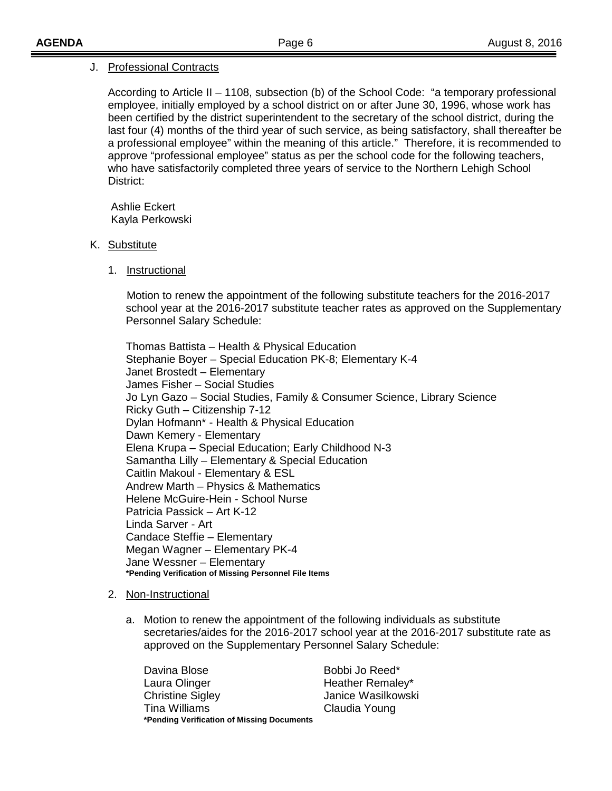## J. Professional Contracts

According to Article II – 1108, subsection (b) of the School Code: "a temporary professional employee, initially employed by a school district on or after June 30, 1996, whose work has been certified by the district superintendent to the secretary of the school district, during the last four (4) months of the third year of such service, as being satisfactory, shall thereafter be a professional employee" within the meaning of this article." Therefore, it is recommended to approve "professional employee" status as per the school code for the following teachers, who have satisfactorily completed three years of service to the Northern Lehigh School District:

Ashlie Eckert Kayla Perkowski

- K. <u>Substitute</u>
	- 1. Instructional

 Motion to renew the appointment of the following substitute teachers for the 2016-2017 school year at the 2016-2017 substitute teacher rates as approved on the Supplementary Personnel Salary Schedule:

Thomas Battista – Health & Physical Education Stephanie Boyer – Special Education PK-8; Elementary K-4 Janet Brostedt – Elementary James Fisher – Social Studies Jo Lyn Gazo – Social Studies, Family & Consumer Science, Library Science Ricky Guth – Citizenship 7-12 Dylan Hofmann\* - Health & Physical Education Dawn Kemery - Elementary Elena Krupa – Special Education; Early Childhood N-3 Samantha Lilly – Elementary & Special Education Caitlin Makoul - Elementary & ESL Andrew Marth – Physics & Mathematics Helene McGuire-Hein - School Nurse Patricia Passick – Art K-12 Linda Sarver - Art Candace Steffie – Elementary Megan Wagner – Elementary PK-4 Jane Wessner – Elementary **\*Pending Verification of Missing Personnel File Items**

#### 2. <u>Non-Instructional</u>

a. Motion to renew the appointment of the following individuals as substitute secretaries/aides for the 2016-2017 school year at the 2016-2017 substitute rate as approved on the Supplementary Personnel Salary Schedule:

Davina Blose Bobbi Jo Reed\* Laura Olinger **Heather Remaley\*** Christine Sigley Janice Wasilkowski Tina Williams Claudia Young **\*Pending Verification of Missing Documents**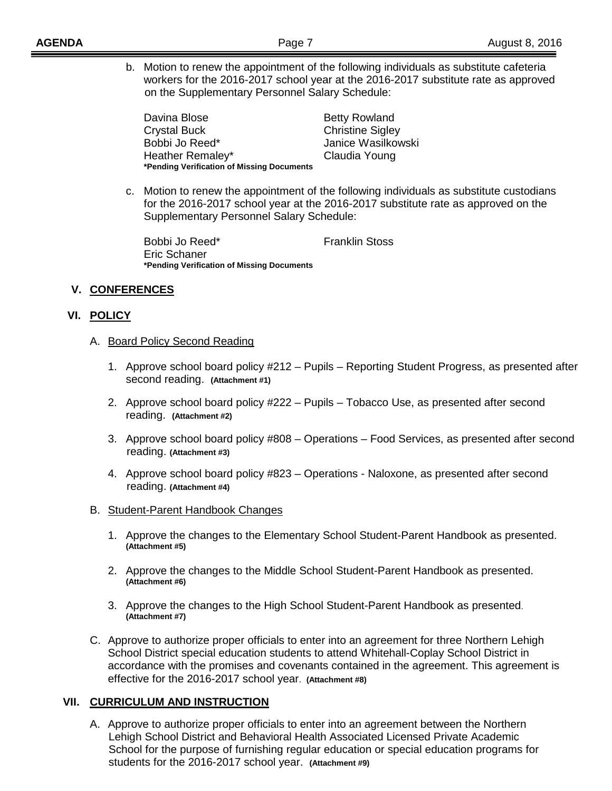b. Motion to renew the appointment of the following individuals as substitute cafeteria workers for the 2016-2017 school year at the 2016-2017 substitute rate as approved on the Supplementary Personnel Salary Schedule:

Davina Blose **Betty Rowland** Crystal Buck Christine Sigley Bobbi Jo Reed\* Janice Wasilkowski Heather Remaley\* Claudia Young **\*Pending Verification of Missing Documents**

c. Motion to renew the appointment of the following individuals as substitute custodians for the 2016-2017 school year at the 2016-2017 substitute rate as approved on the Supplementary Personnel Salary Schedule:

Bobbi Jo Reed\* Franklin Stoss Eric Schaner **\*Pending Verification of Missing Documents**

# **V. CONFERENCES**

## **VI. POLICY**

- A. Board Policy Second Reading
	- 1. Approve school board policy #212 Pupils Reporting Student Progress, as presented after second reading. **(Attachment #1)**
	- 2. Approve school board policy #222 Pupils Tobacco Use, as presented after second reading. **(Attachment #2)**
	- 3. Approve school board policy #808 Operations Food Services, as presented after second reading. **(Attachment #3)**
	- 4. Approve school board policy #823 Operations Naloxone, as presented after second reading. **(Attachment #4)**
- B. Student-Parent Handbook Changes
	- 1. Approve the changes to the Elementary School Student-Parent Handbook as presented. **(Attachment #5)**
	- 2. Approve the changes to the Middle School Student-Parent Handbook as presented. **(Attachment #6)**
	- 3. Approve the changes to the High School Student-Parent Handbook as presented. **(Attachment #7)**
- C. Approve to authorize proper officials to enter into an agreement for three Northern Lehigh School District special education students to attend Whitehall-Coplay School District in accordance with the promises and covenants contained in the agreement. This agreement is effective for the 2016-2017 school year. **(Attachment #8)**

## **VII. CURRICULUM AND INSTRUCTION**

A. Approve to authorize proper officials to enter into an agreement between the Northern Lehigh School District and Behavioral Health Associated Licensed Private Academic School for the purpose of furnishing regular education or special education programs for students for the 2016-2017 school year. **(Attachment #9)**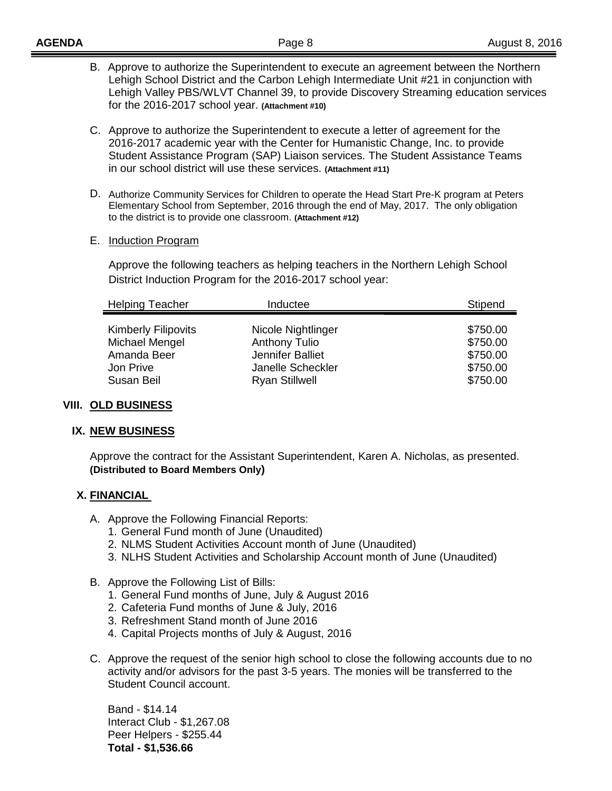- C. Approve to authorize the Superintendent to execute a letter of agreement for the 2016-2017 academic year with the Center for Humanistic Change, Inc. to provide Student Assistance Program (SAP) Liaison services. The Student Assistance Teams in our school district will use these services. **(Attachment #11)**
- D. Authorize Community Services for Children to operate the Head Start Pre-K program at Peters Elementary School from September, 2016 through the end of May, 2017. The only obligation to the district is to provide one classroom. **(Attachment #12)**
- E. Induction Program

Approve the following teachers as helping teachers in the Northern Lehigh School District Induction Program for the 2016-2017 school year:

| <b>Helping Teacher</b>                       | Inductee                                   | Stipend              |  |
|----------------------------------------------|--------------------------------------------|----------------------|--|
| <b>Kimberly Filipovits</b><br>Michael Mengel | Nicole Nightlinger<br><b>Anthony Tulio</b> | \$750.00<br>\$750.00 |  |
| Amanda Beer                                  | Jennifer Balliet                           | \$750.00             |  |
| Jon Prive                                    | Janelle Scheckler                          | \$750.00             |  |
| Susan Beil                                   | <b>Ryan Stillwell</b>                      | \$750.00             |  |

## **VIII. OLD BUSINESS**

# **IX. NEW BUSINESS**

Approve the contract for the Assistant Superintendent, Karen A. Nicholas, as presented. **(Distributed to Board Members Only)**

## **X. FINANCIAL**

- A. Approve the Following Financial Reports:
	- 1. General Fund month of June (Unaudited)
	- 2. NLMS Student Activities Account month of June (Unaudited)
	- 3. NLHS Student Activities and Scholarship Account month of June (Unaudited)
- B. Approve the Following List of Bills:
	- 1. General Fund months of June, July & August 2016
	- 2. Cafeteria Fund months of June & July, 2016
	- 3. Refreshment Stand month of June 2016
	- 4. Capital Projects months of July & August, 2016
- C. Approve the request of the senior high school to close the following accounts due to no activity and/or advisors for the past 3-5 years. The monies will be transferred to the Student Council account.

Band - \$14.14 Interact Club - \$1,267.08 Peer Helpers - \$255.44 **Total - \$1,536.66**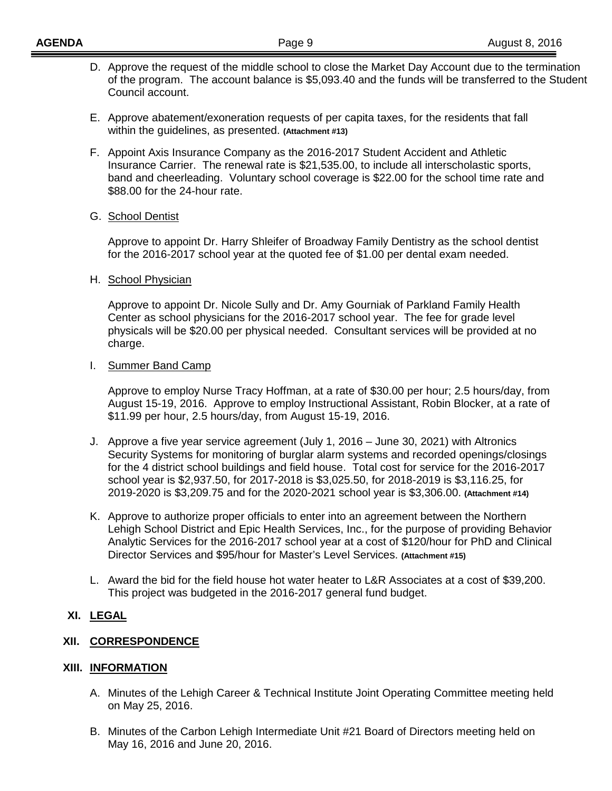- D. Approve the request of the middle school to close the Market Day Account due to the termination of the program. The account balance is \$5,093.40 and the funds will be transferred to the Student Council account.
- E. Approve abatement/exoneration requests of per capita taxes, for the residents that fall within the guidelines, as presented. **(Attachment #13)**
- F. Appoint Axis Insurance Company as the 2016-2017 Student Accident and Athletic Insurance Carrier. The renewal rate is \$21,535.00, to include all interscholastic sports, band and cheerleading. Voluntary school coverage is \$22.00 for the school time rate and \$88.00 for the 24-hour rate.

#### G. <u>School Dentist</u>

Approve to appoint Dr. Harry Shleifer of Broadway Family Dentistry as the school dentist for the 2016-2017 school year at the quoted fee of \$1.00 per dental exam needed.

#### H. <u>School Physician</u>

Approve to appoint Dr. Nicole Sully and Dr. Amy Gourniak of Parkland Family Health Center as school physicians for the 2016-2017 school year. The fee for grade level physicals will be \$20.00 per physical needed. Consultant services will be provided at no charge.

## I. Summer Band Camp

Approve to employ Nurse Tracy Hoffman, at a rate of \$30.00 per hour; 2.5 hours/day, from August 15-19, 2016. Approve to employ Instructional Assistant, Robin Blocker, at a rate of \$11.99 per hour, 2.5 hours/day, from August 15-19, 2016.

- J. Approve a five year service agreement (July 1, 2016 June 30, 2021) with Altronics Security Systems for monitoring of burglar alarm systems and recorded openings/closings for the 4 district school buildings and field house. Total cost for service for the 2016-2017 school year is \$2,937.50, for 2017-2018 is \$3,025.50, for 2018-2019 is \$3,116.25, for 2019-2020 is \$3,209.75 and for the 2020-2021 school year is \$3,306.00. **(Attachment #14)**
- K. Approve to authorize proper officials to enter into an agreement between the Northern Lehigh School District and Epic Health Services, Inc., for the purpose of providing Behavior Analytic Services for the 2016-2017 school year at a cost of \$120/hour for PhD and Clinical Director Services and \$95/hour for Master's Level Services. **(Attachment #15)**
- L. Award the bid for the field house hot water heater to L&R Associates at a cost of \$39,200. This project was budgeted in the 2016-2017 general fund budget.

## **XI. LEGAL**

## **XII. CORRESPONDENCE**

## **XIII. INFORMATION**

- A. Minutes of the Lehigh Career & Technical Institute Joint Operating Committee meeting held on May 25, 2016.
- B. Minutes of the Carbon Lehigh Intermediate Unit #21 Board of Directors meeting held on May 16, 2016 and June 20, 2016.